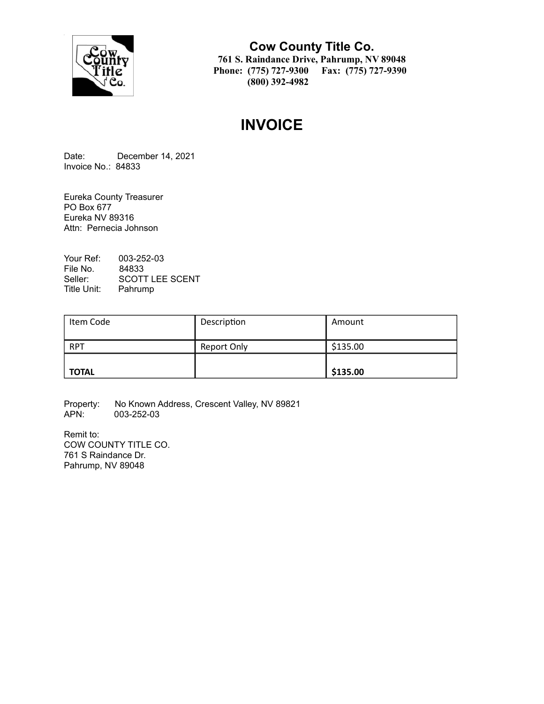

**Cow County Title Co. 761 S. Raindance Drive, Pahrump, NV 89048 Phone: (775) 727-9300 Fax: (775) 727-9390 (800) 392-4982**

# **INVOICE**

Date: December 14, 2021 Invoice No.: 84833

Eureka County Treasurer PO Box 677 Eureka NV 89316 Attn: Pernecia Johnson

Your Ref: 003-252-03 File No. 84833<br>Seller: SCOT1 SCOTT LEE SCENT Title Unit: Pahrump

| Item Code    | Description | Amount   |
|--------------|-------------|----------|
| <b>RPT</b>   | Report Only | \$135.00 |
| <b>TOTAL</b> |             | \$135.00 |

Property: No Known Address, Crescent Valley, NV 89821<br>APN: 003-252-03 003-252-03

Remit to: COW COUNTY TITLE CO. 761 S Raindance Dr. Pahrump, NV 89048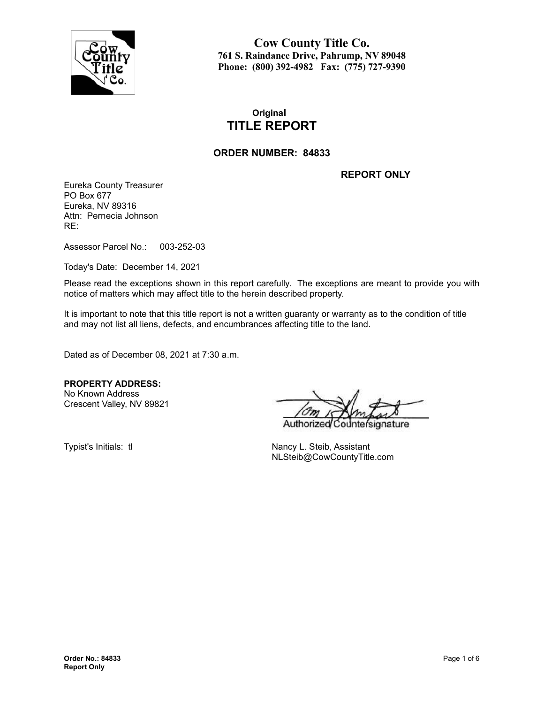

**Cow County Title Co. 761 S. Raindance Drive, Pahrump, NV 89048 Phone: (800) 392-4982 Fax: (775) 727-9390**

## **Original TITLE REPORT**

#### **ORDER NUMBER: 84833**

**REPORT ONLY**

Eureka County Treasurer PO Box 677 Eureka, NV 89316 Attn: Pernecia Johnson RE:

Assessor Parcel No.: 003-252-03

Today's Date: December 14, 2021

Please read the exceptions shown in this report carefully. The exceptions are meant to provide you with notice of matters which may affect title to the herein described property.

It is important to note that this title report is not a written guaranty or warranty as to the condition of title and may not list all liens, defects, and encumbrances affecting title to the land.

Dated as of December 08, 2021 at 7:30 a.m.

**PROPERTY ADDRESS:** No Known Address

Crescent Valley, NV 89821

Authorize nature

Typist's Initials: tl Nancy L. Steib, Assistant NLSteib@CowCountyTitle.com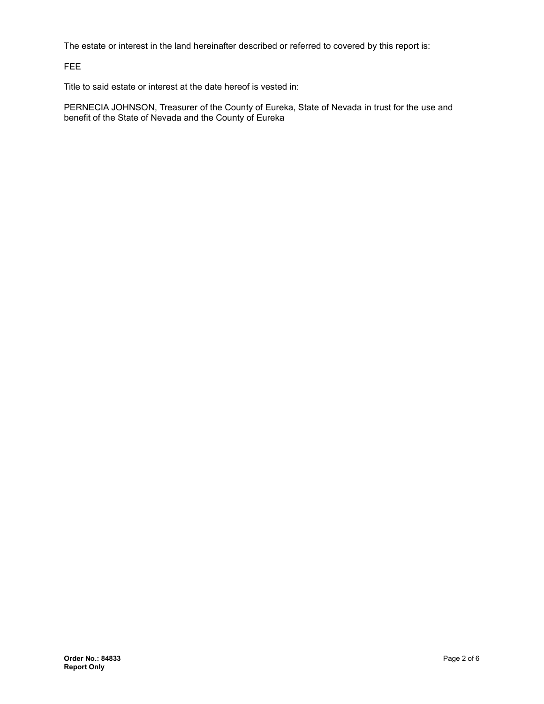The estate or interest in the land hereinafter described or referred to covered by this report is:

FEE

Title to said estate or interest at the date hereof is vested in:

PERNECIA JOHNSON, Treasurer of the County of Eureka, State of Nevada in trust for the use and benefit of the State of Nevada and the County of Eureka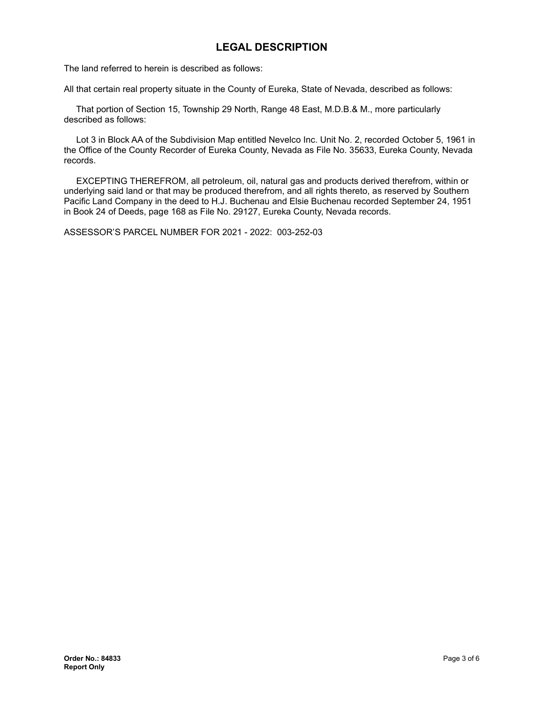## **LEGAL DESCRIPTION**

The land referred to herein is described as follows:

All that certain real property situate in the County of Eureka, State of Nevada, described as follows:

That portion of Section 15, Township 29 North, Range 48 East, M.D.B.& M., more particularly described as follows:

Lot 3 in Block AA of the Subdivision Map entitled Nevelco Inc. Unit No. 2, recorded October 5, 1961 in the Office of the County Recorder of Eureka County, Nevada as File No. 35633, Eureka County, Nevada records.

EXCEPTING THEREFROM, all petroleum, oil, natural gas and products derived therefrom, within or underlying said land or that may be produced therefrom, and all rights thereto, as reserved by Southern Pacific Land Company in the deed to H.J. Buchenau and Elsie Buchenau recorded September 24, 1951 in Book 24 of Deeds, page 168 as File No. 29127, Eureka County, Nevada records.

ASSESSOR'S PARCEL NUMBER FOR 2021 - 2022: 003-252-03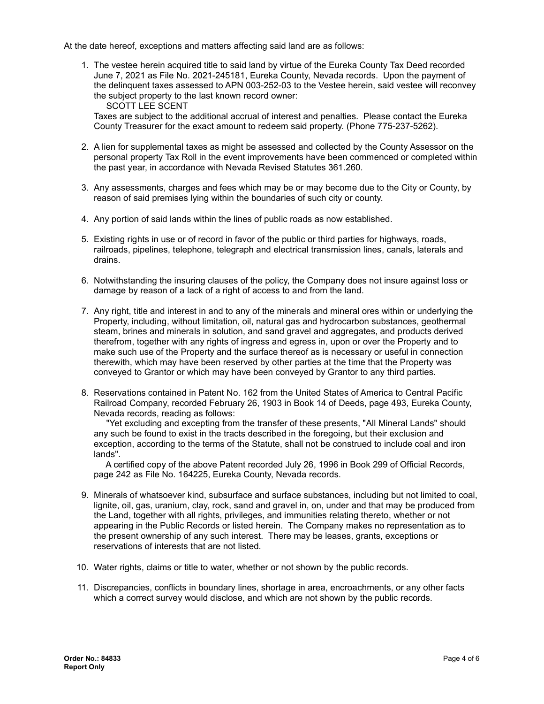At the date hereof, exceptions and matters affecting said land are as follows:

1. The vestee herein acquired title to said land by virtue of the Eureka County Tax Deed recorded June 7, 2021 as File No. 2021-245181, Eureka County, Nevada records. Upon the payment of the delinquent taxes assessed to APN 003-252-03 to the Vestee herein, said vestee will reconvey the subject property to the last known record owner:

SCOTT LEE SCENT

Taxes are subject to the additional accrual of interest and penalties. Please contact the Eureka County Treasurer for the exact amount to redeem said property. (Phone 775-237-5262).

- 2. A lien for supplemental taxes as might be assessed and collected by the County Assessor on the personal property Tax Roll in the event improvements have been commenced or completed within the past year, in accordance with Nevada Revised Statutes 361.260.
- 3. Any assessments, charges and fees which may be or may become due to the City or County, by reason of said premises lying within the boundaries of such city or county.
- 4. Any portion of said lands within the lines of public roads as now established.
- 5. Existing rights in use or of record in favor of the public or third parties for highways, roads, railroads, pipelines, telephone, telegraph and electrical transmission lines, canals, laterals and drains.
- 6. Notwithstanding the insuring clauses of the policy, the Company does not insure against loss or damage by reason of a lack of a right of access to and from the land.
- 7. Any right, title and interest in and to any of the minerals and mineral ores within or underlying the Property, including, without limitation, oil, natural gas and hydrocarbon substances, geothermal steam, brines and minerals in solution, and sand gravel and aggregates, and products derived therefrom, together with any rights of ingress and egress in, upon or over the Property and to make such use of the Property and the surface thereof as is necessary or useful in connection therewith, which may have been reserved by other parties at the time that the Property was conveyed to Grantor or which may have been conveyed by Grantor to any third parties.
- 8. Reservations contained in Patent No. 162 from the United States of America to Central Pacific Railroad Company, recorded February 26, 1903 in Book 14 of Deeds, page 493, Eureka County, Nevada records, reading as follows:

"Yet excluding and excepting from the transfer of these presents, "All Mineral Lands" should any such be found to exist in the tracts described in the foregoing, but their exclusion and exception, according to the terms of the Statute, shall not be construed to include coal and iron lands".

A certified copy of the above Patent recorded July 26, 1996 in Book 299 of Official Records, page 242 as File No. 164225, Eureka County, Nevada records.

- 9. Minerals of whatsoever kind, subsurface and surface substances, including but not limited to coal, lignite, oil, gas, uranium, clay, rock, sand and gravel in, on, under and that may be produced from the Land, together with all rights, privileges, and immunities relating thereto, whether or not appearing in the Public Records or listed herein. The Company makes no representation as to the present ownership of any such interest. There may be leases, grants, exceptions or reservations of interests that are not listed.
- 10. Water rights, claims or title to water, whether or not shown by the public records.
- 11. Discrepancies, conflicts in boundary lines, shortage in area, encroachments, or any other facts which a correct survey would disclose, and which are not shown by the public records.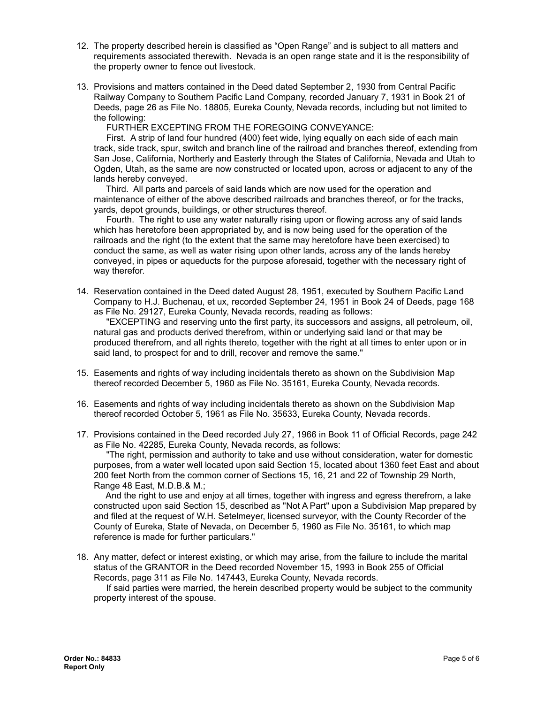- 12. The property described herein is classified as "Open Range" and is subject to all matters and requirements associated therewith. Nevada is an open range state and it is the responsibility of the property owner to fence out livestock.
- 13. Provisions and matters contained in the Deed dated September 2, 1930 from Central Pacific Railway Company to Southern Pacific Land Company, recorded January 7, 1931 in Book 21 of Deeds, page 26 as File No. 18805, Eureka County, Nevada records, including but not limited to the following:

FURTHER EXCEPTING FROM THE FOREGOING CONVEYANCE:

First. A strip of land four hundred (400) feet wide, lying equally on each side of each main track, side track, spur, switch and branch line of the railroad and branches thereof, extending from San Jose, California, Northerly and Easterly through the States of California, Nevada and Utah to Ogden, Utah, as the same are now constructed or located upon, across or adjacent to any of the lands hereby conveyed.

Third. All parts and parcels of said lands which are now used for the operation and maintenance of either of the above described railroads and branches thereof, or for the tracks, yards, depot grounds, buildings, or other structures thereof.

Fourth. The right to use any water naturally rising upon or flowing across any of said lands which has heretofore been appropriated by, and is now being used for the operation of the railroads and the right (to the extent that the same may heretofore have been exercised) to conduct the same, as well as water rising upon other lands, across any of the lands hereby conveyed, in pipes or aqueducts for the purpose aforesaid, together with the necessary right of way therefor.

14. Reservation contained in the Deed dated August 28, 1951, executed by Southern Pacific Land Company to H.J. Buchenau, et ux, recorded September 24, 1951 in Book 24 of Deeds, page 168 as File No. 29127, Eureka County, Nevada records, reading as follows:

"EXCEPTING and reserving unto the first party, its successors and assigns, all petroleum, oil, natural gas and products derived therefrom, within or underlying said land or that may be produced therefrom, and all rights thereto, together with the right at all times to enter upon or in said land, to prospect for and to drill, recover and remove the same."

- 15. Easements and rights of way including incidentals thereto as shown on the Subdivision Map thereof recorded December 5, 1960 as File No. 35161, Eureka County, Nevada records.
- 16. Easements and rights of way including incidentals thereto as shown on the Subdivision Map thereof recorded October 5, 1961 as File No. 35633, Eureka County, Nevada records.
- 17. Provisions contained in the Deed recorded July 27, 1966 in Book 11 of Official Records, page 242 as File No. 42285, Eureka County, Nevada records, as follows:

"The right, permission and authority to take and use without consideration, water for domestic purposes, from a water well located upon said Section 15, located about 1360 feet East and about 200 feet North from the common corner of Sections 15, 16, 21 and 22 of Township 29 North, Range 48 East, M.D.B.& M.;

And the right to use and enjoy at all times, together with ingress and egress therefrom, a lake constructed upon said Section 15, described as "Not A Part" upon a Subdivision Map prepared by and filed at the request of W.H. Setelmeyer, licensed surveyor, with the County Recorder of the County of Eureka, State of Nevada, on December 5, 1960 as File No. 35161, to which map reference is made for further particulars."

18. Any matter, defect or interest existing, or which may arise, from the failure to include the marital status of the GRANTOR in the Deed recorded November 15, 1993 in Book 255 of Official Records, page 311 as File No. 147443, Eureka County, Nevada records.

If said parties were married, the herein described property would be subject to the community property interest of the spouse.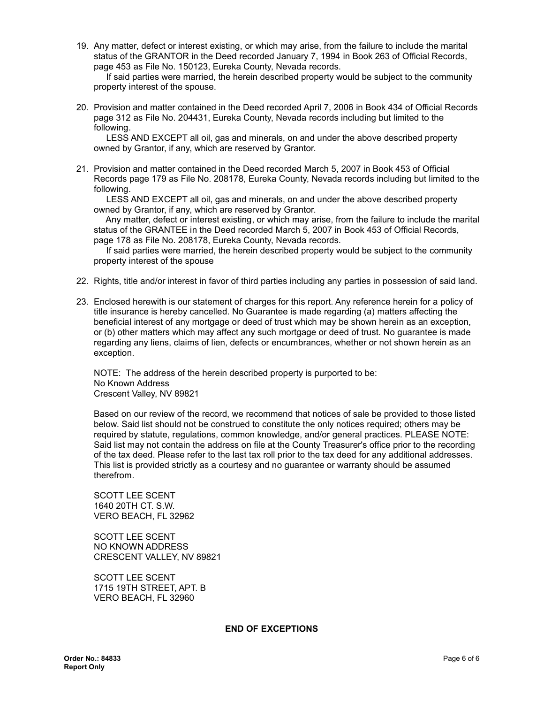19. Any matter, defect or interest existing, or which may arise, from the failure to include the marital status of the GRANTOR in the Deed recorded January 7, 1994 in Book 263 of Official Records, page 453 as File No. 150123, Eureka County, Nevada records.

If said parties were married, the herein described property would be subject to the community property interest of the spouse.

20. Provision and matter contained in the Deed recorded April 7, 2006 in Book 434 of Official Records page 312 as File No. 204431, Eureka County, Nevada records including but limited to the following.

LESS AND EXCEPT all oil, gas and minerals, on and under the above described property owned by Grantor, if any, which are reserved by Grantor.

21. Provision and matter contained in the Deed recorded March 5, 2007 in Book 453 of Official Records page 179 as File No. 208178, Eureka County, Nevada records including but limited to the following.

LESS AND EXCEPT all oil, gas and minerals, on and under the above described property owned by Grantor, if any, which are reserved by Grantor.

Any matter, defect or interest existing, or which may arise, from the failure to include the marital status of the GRANTEE in the Deed recorded March 5, 2007 in Book 453 of Official Records, page 178 as File No. 208178, Eureka County, Nevada records.

If said parties were married, the herein described property would be subject to the community property interest of the spouse

- 22. Rights, title and/or interest in favor of third parties including any parties in possession of said land.
- 23. Enclosed herewith is our statement of charges for this report. Any reference herein for a policy of title insurance is hereby cancelled. No Guarantee is made regarding (a) matters affecting the beneficial interest of any mortgage or deed of trust which may be shown herein as an exception, or (b) other matters which may affect any such mortgage or deed of trust. No guarantee is made regarding any liens, claims of lien, defects or encumbrances, whether or not shown herein as an exception.

NOTE: The address of the herein described property is purported to be: No Known Address Crescent Valley, NV 89821

Based on our review of the record, we recommend that notices of sale be provided to those listed below. Said list should not be construed to constitute the only notices required; others may be required by statute, regulations, common knowledge, and/or general practices. PLEASE NOTE: Said list may not contain the address on file at the County Treasurer's office prior to the recording of the tax deed. Please refer to the last tax roll prior to the tax deed for any additional addresses. This list is provided strictly as a courtesy and no guarantee or warranty should be assumed therefrom.

SCOTT LEE SCENT 1640 20TH CT. S.W. VERO BEACH, FL 32962

SCOTT LEE SCENT NO KNOWN ADDRESS CRESCENT VALLEY, NV 89821

SCOTT LEE SCENT 1715 19TH STREET, APT. B VERO BEACH, FL 32960

#### **END OF EXCEPTIONS**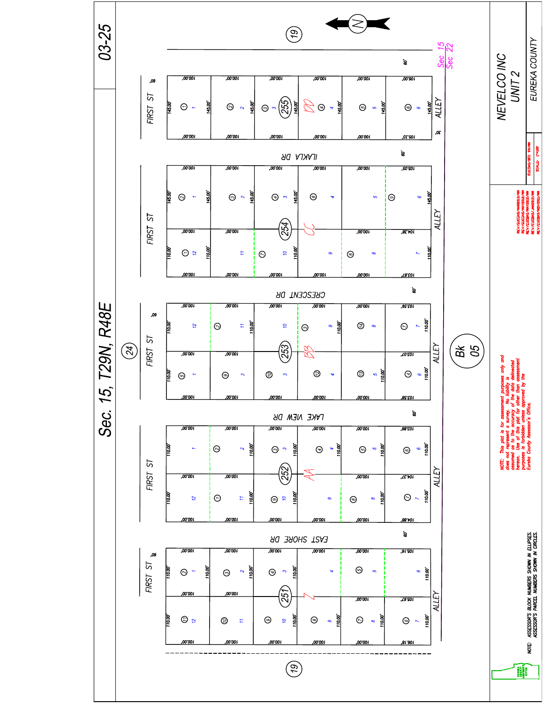